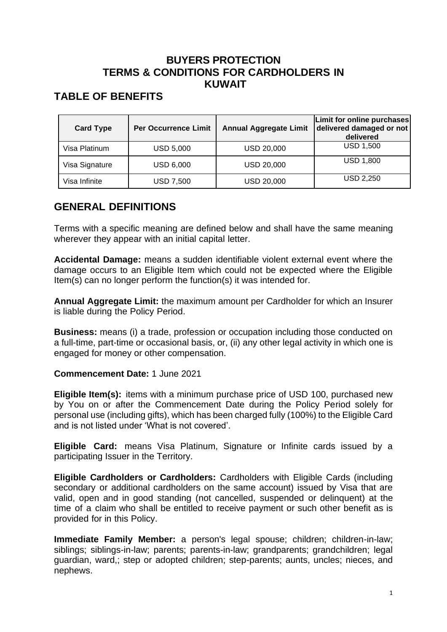### **BUYERS PROTECTION TERMS & CONDITIONS FOR CARDHOLDERS IN KUWAIT**

## **TABLE OF BENEFITS**

| <b>Card Type</b> | <b>Per Occurrence Limit</b> | <b>Annual Aggregate Limit</b> | Limit for online purchases<br>delivered damaged or not<br>delivered |
|------------------|-----------------------------|-------------------------------|---------------------------------------------------------------------|
| Visa Platinum    | <b>USD 5,000</b>            | <b>USD 20,000</b>             | <b>USD 1,500</b>                                                    |
| Visa Signature   | <b>USD 6,000</b>            | <b>USD 20,000</b>             | <b>USD 1,800</b>                                                    |
| Visa Infinite    | USD 7,500                   | <b>USD 20,000</b>             | <b>USD 2,250</b>                                                    |

## **GENERAL DEFINITIONS**

Terms with a specific meaning are defined below and shall have the same meaning wherever they appear with an initial capital letter.

**Accidental Damage:** means a sudden identifiable violent external event where the damage occurs to an Eligible Item which could not be expected where the Eligible Item(s) can no longer perform the function(s) it was intended for.

**Annual Aggregate Limit:** the maximum amount per Cardholder for which an Insurer is liable during the Policy Period.

**Business:** means (i) a trade, profession or occupation including those conducted on a full-time, part-time or occasional basis, or, (ii) any other legal activity in which one is engaged for money or other compensation.

#### **Commencement Date:** 1 June 2021

**Eligible Item(s):** items with a minimum purchase price of USD 100, purchased new by You on or after the Commencement Date during the Policy Period solely for personal use (including gifts), which has been charged fully (100%) to the Eligible Card and is not listed under 'What is not covered'.

**Eligible Card:** means Visa Platinum, Signature or Infinite cards issued by a participating Issuer in the Territory.

**Eligible Cardholders or Cardholders:** Cardholders with Eligible Cards (including secondary or additional cardholders on the same account) issued by Visa that are valid, open and in good standing (not cancelled, suspended or delinquent) at the time of a claim who shall be entitled to receive payment or such other benefit as is provided for in this Policy.

**Immediate Family Member:** a person's legal spouse; children; children-in-law; siblings; siblings-in-law; parents; parents-in-law; grandparents; grandchildren; legal guardian, ward,; step or adopted children; step-parents; aunts, uncles; nieces, and nephews.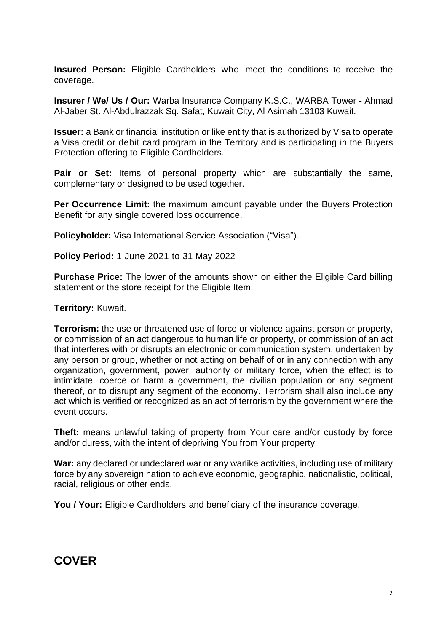**Insured Person:** Eligible Cardholders who meet the conditions to receive the coverage.

**Insurer / We/ Us / Our:** Warba Insurance Company K.S.C., WARBA Tower - Ahmad Al-Jaber St. Al-Abdulrazzak Sq. Safat, Kuwait City, Al Asimah 13103 Kuwait.

**Issuer:** a Bank or financial institution or like entity that is authorized by Visa to operate a Visa credit or debit card program in the Territory and is participating in the Buyers Protection offering to Eligible Cardholders.

**Pair or Set:** Items of personal property which are substantially the same, complementary or designed to be used together.

**Per Occurrence Limit:** the maximum amount payable under the Buyers Protection Benefit for any single covered loss occurrence.

**Policyholder:** Visa International Service Association ("Visa").

**Policy Period:** 1 June 2021 to 31 May 2022

**Purchase Price:** The lower of the amounts shown on either the Eligible Card billing statement or the store receipt for the Eligible Item.

**Territory:** Kuwait.

**Terrorism:** the use or threatened use of force or violence against person or property, or commission of an act dangerous to human life or property, or commission of an act that interferes with or disrupts an electronic or communication system, undertaken by any person or group, whether or not acting on behalf of or in any connection with any organization, government, power, authority or military force, when the effect is to intimidate, coerce or harm a government, the civilian population or any segment thereof, or to disrupt any segment of the economy. Terrorism shall also include any act which is verified or recognized as an act of terrorism by the government where the event occurs.

**Theft:** means unlawful taking of property from Your care and/or custody by force and/or duress, with the intent of depriving You from Your property.

War: any declared or undeclared war or any warlike activities, including use of military force by any sovereign nation to achieve economic, geographic, nationalistic, political, racial, religious or other ends.

**You / Your:** Eligible Cardholders and beneficiary of the insurance coverage.

# **COVER**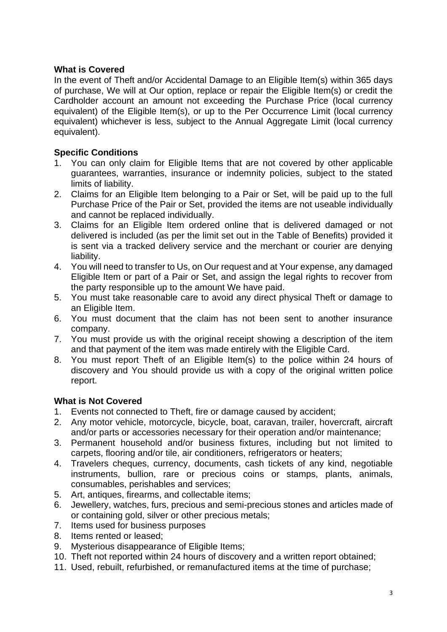### **What is Covered**

In the event of Theft and/or Accidental Damage to an Eligible Item(s) within 365 days of purchase, We will at Our option, replace or repair the Eligible Item(s) or credit the Cardholder account an amount not exceeding the Purchase Price (local currency equivalent) of the Eligible Item(s), or up to the Per Occurrence Limit (local currency equivalent) whichever is less, subject to the Annual Aggregate Limit (local currency equivalent).

### **Specific Conditions**

- 1. You can only claim for Eligible Items that are not covered by other applicable guarantees, warranties, insurance or indemnity policies, subject to the stated limits of liability.
- 2. Claims for an Eligible Item belonging to a Pair or Set, will be paid up to the full Purchase Price of the Pair or Set, provided the items are not useable individually and cannot be replaced individually.
- 3. Claims for an Eligible Item ordered online that is delivered damaged or not delivered is included (as per the limit set out in the Table of Benefits) provided it is sent via a tracked delivery service and the merchant or courier are denying liability.
- 4. You will need to transfer to Us, on Our request and at Your expense, any damaged Eligible Item or part of a Pair or Set, and assign the legal rights to recover from the party responsible up to the amount We have paid.
- 5. You must take reasonable care to avoid any direct physical Theft or damage to an Eligible Item.
- 6. You must document that the claim has not been sent to another insurance company.
- 7. You must provide us with the original receipt showing a description of the item and that payment of the item was made entirely with the Eligible Card.
- 8. You must report Theft of an Eligible Item(s) to the police within 24 hours of discovery and You should provide us with a copy of the original written police report.

### **What is Not Covered**

- 1. Events not connected to Theft, fire or damage caused by accident;
- 2. Any motor vehicle, motorcycle, bicycle, boat, caravan, trailer, hovercraft, aircraft and/or parts or accessories necessary for their operation and/or maintenance;
- 3. Permanent household and/or business fixtures, including but not limited to carpets, flooring and/or tile, air conditioners, refrigerators or heaters;
- 4. Travelers cheques, currency, documents, cash tickets of any kind, negotiable instruments, bullion, rare or precious coins or stamps, plants, animals, consumables, perishables and services;
- 5. Art, antiques, firearms, and collectable items;
- 6. Jewellery, watches, furs, precious and semi-precious stones and articles made of or containing gold, silver or other precious metals;
- 7. Items used for business purposes
- 8. Items rented or leased;
- 9. Mysterious disappearance of Eligible Items;
- 10. Theft not reported within 24 hours of discovery and a written report obtained;
- 11. Used, rebuilt, refurbished, or remanufactured items at the time of purchase;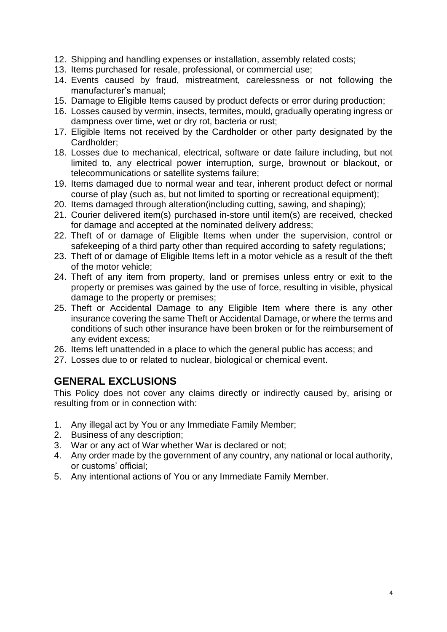- 12. Shipping and handling expenses or installation, assembly related costs;
- 13. Items purchased for resale, professional, or commercial use;
- 14. Events caused by fraud, mistreatment, carelessness or not following the manufacturer's manual;
- 15. Damage to Eligible Items caused by product defects or error during production;
- 16. Losses caused by vermin, insects, termites, mould, gradually operating ingress or dampness over time, wet or dry rot, bacteria or rust;
- 17. Eligible Items not received by the Cardholder or other party designated by the Cardholder;
- 18. Losses due to mechanical, electrical, software or date failure including, but not limited to, any electrical power interruption, surge, brownout or blackout, or telecommunications or satellite systems failure;
- 19. Items damaged due to normal wear and tear, inherent product defect or normal course of play (such as, but not limited to sporting or recreational equipment);
- 20. Items damaged through alteration(including cutting, sawing, and shaping);
- 21. Courier delivered item(s) purchased in-store until item(s) are received, checked for damage and accepted at the nominated delivery address;
- 22. Theft of or damage of Eligible Items when under the supervision, control or safekeeping of a third party other than required according to safety regulations;
- 23. Theft of or damage of Eligible Items left in a motor vehicle as a result of the theft of the motor vehicle;
- 24. Theft of any item from property, land or premises unless entry or exit to the property or premises was gained by the use of force, resulting in visible, physical damage to the property or premises;
- 25. Theft or Accidental Damage to any Eligible Item where there is any other insurance covering the same Theft or Accidental Damage, or where the terms and conditions of such other insurance have been broken or for the reimbursement of any evident excess;
- 26. Items left unattended in a place to which the general public has access; and
- 27. Losses due to or related to nuclear, biological or chemical event.

### **GENERAL EXCLUSIONS**

This Policy does not cover any claims directly or indirectly caused by, arising or resulting from or in connection with:

- 1. Any illegal act by You or any Immediate Family Member;
- 2. Business of any description;
- 3. War or any act of War whether War is declared or not;
- 4. Any order made by the government of any country, any national or local authority, or customs' official;
- 5. Any intentional actions of You or any Immediate Family Member.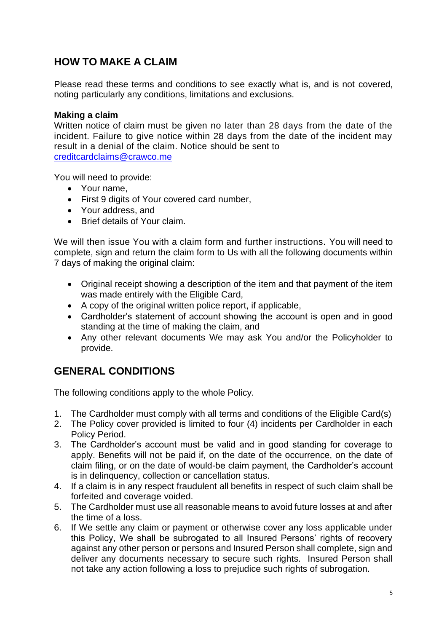## **HOW TO MAKE A CLAIM**

Please read these terms and conditions to see exactly what is, and is not covered, noting particularly any conditions, limitations and exclusions.

### **Making a claim**

Written notice of claim must be given no later than 28 days from the date of the incident. Failure to give notice within 28 days from the date of the incident may result in a denial of the claim. Notice should be sent to [creditcardclaims@crawco.me](mailto:creditcardclaims@crawco.me)

You will need to provide:

- Your name,
- First 9 digits of Your covered card number,
- Your address, and
- Brief details of Your claim.

We will then issue You with a claim form and further instructions. You will need to complete, sign and return the claim form to Us with all the following documents within 7 days of making the original claim:

- Original receipt showing a description of the item and that payment of the item was made entirely with the Eligible Card,
- A copy of the original written police report, if applicable,
- Cardholder's statement of account showing the account is open and in good standing at the time of making the claim, and
- Any other relevant documents We may ask You and/or the Policyholder to provide.

### **GENERAL CONDITIONS**

The following conditions apply to the whole Policy.

- 1. The Cardholder must comply with all terms and conditions of the Eligible Card(s)
- 2. The Policy cover provided is limited to four (4) incidents per Cardholder in each Policy Period.
- 3. The Cardholder's account must be valid and in good standing for coverage to apply. Benefits will not be paid if, on the date of the occurrence, on the date of claim filing, or on the date of would-be claim payment, the Cardholder's account is in delinquency, collection or cancellation status.
- 4. If a claim is in any respect fraudulent all benefits in respect of such claim shall be forfeited and coverage voided.
- 5. The Cardholder must use all reasonable means to avoid future losses at and after the time of a loss.
- 6. If We settle any claim or payment or otherwise cover any loss applicable under this Policy, We shall be subrogated to all Insured Persons' rights of recovery against any other person or persons and Insured Person shall complete, sign and deliver any documents necessary to secure such rights. Insured Person shall not take any action following a loss to prejudice such rights of subrogation.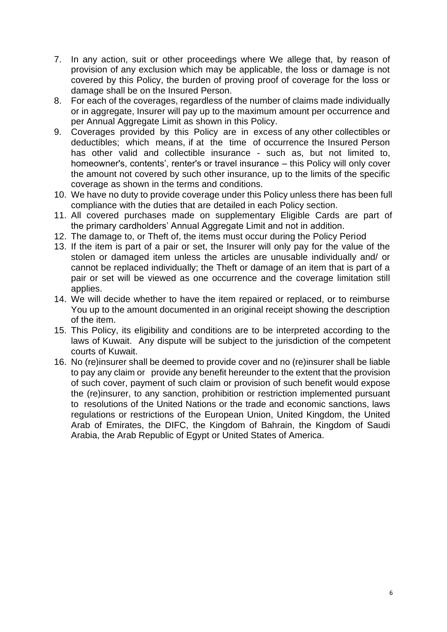- 7. In any action, suit or other proceedings where We allege that, by reason of provision of any exclusion which may be applicable, the loss or damage is not covered by this Policy, the burden of proving proof of coverage for the loss or damage shall be on the Insured Person.
- 8. For each of the coverages, regardless of the number of claims made individually or in aggregate, Insurer will pay up to the maximum amount per occurrence and per Annual Aggregate Limit as shown in this Policy.
- 9. Coverages provided by this Policy are in excess of any other collectibles or deductibles; which means, if at the time of occurrence the Insured Person has other valid and collectible insurance - such as, but not limited to, homeowner's, contents', renter's or travel insurance – this Policy will only cover the amount not covered by such other insurance, up to the limits of the specific coverage as shown in the terms and conditions.
- 10. We have no duty to provide coverage under this Policy unless there has been full compliance with the duties that are detailed in each Policy section.
- 11. All covered purchases made on supplementary Eligible Cards are part of the primary cardholders' Annual Aggregate Limit and not in addition.
- 12. The damage to, or Theft of, the items must occur during the Policy Period
- 13. If the item is part of a pair or set, the Insurer will only pay for the value of the stolen or damaged item unless the articles are unusable individually and/ or cannot be replaced individually; the Theft or damage of an item that is part of a pair or set will be viewed as one occurrence and the coverage limitation still applies.
- 14. We will decide whether to have the item repaired or replaced, or to reimburse You up to the amount documented in an original receipt showing the description of the item.
- 15. This Policy, its eligibility and conditions are to be interpreted according to the laws of Kuwait. Any dispute will be subject to the jurisdiction of the competent courts of Kuwait.
- 16. No (re)insurer shall be deemed to provide cover and no (re)insurer shall be liable to pay any claim or provide any benefit hereunder to the extent that the provision of such cover, payment of such claim or provision of such benefit would expose the (re)insurer, to any sanction, prohibition or restriction implemented pursuant to resolutions of the United Nations or the trade and economic sanctions, laws regulations or restrictions of the European Union, United Kingdom, the United Arab of Emirates, the DIFC, the Kingdom of Bahrain, the Kingdom of Saudi Arabia, the Arab Republic of Egypt or United States of America.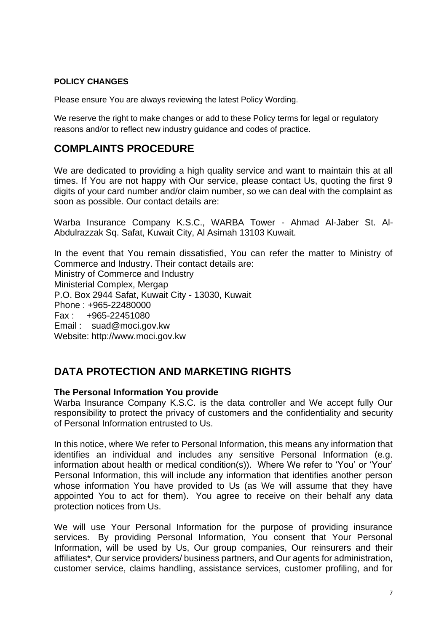#### **POLICY CHANGES**

Please ensure You are always reviewing the latest Policy Wording.

We reserve the right to make changes or add to these Policy terms for legal or regulatory reasons and/or to reflect new industry guidance and codes of practice.

### **COMPLAINTS PROCEDURE**

We are dedicated to providing a high quality service and want to maintain this at all times. If You are not happy with Our service, please contact Us, quoting the first 9 digits of your card number and/or claim number, so we can deal with the complaint as soon as possible. Our contact details are:

Warba Insurance Company K.S.C., WARBA Tower - Ahmad Al-Jaber St. Al-Abdulrazzak Sq. Safat, Kuwait City, Al Asimah 13103 Kuwait.

In the event that You remain dissatisfied, You can refer the matter to Ministry of Commerce and Industry. Their contact details are: Ministry of Commerce and Industry Ministerial Complex, Mergap P.O. Box 2944 Safat, Kuwait City - 13030, Kuwait Phone : +965-22480000 Fax : +965-22451080 Email : suad@moci.gov.kw Website: http://www.moci.gov.kw

## **DATA PROTECTION AND MARKETING RIGHTS**

#### **The Personal Information You provide**

Warba Insurance Company K.S.C. is the data controller and We accept fully Our responsibility to protect the privacy of customers and the confidentiality and security of Personal Information entrusted to Us.

In this notice, where We refer to Personal Information, this means any information that identifies an individual and includes any sensitive Personal Information (e.g. information about health or medical condition(s)). Where We refer to 'You' or 'Your' Personal Information, this will include any information that identifies another person whose information You have provided to Us (as We will assume that they have appointed You to act for them). You agree to receive on their behalf any data protection notices from Us.

We will use Your Personal Information for the purpose of providing insurance services. By providing Personal Information, You consent that Your Personal Information, will be used by Us, Our group companies, Our reinsurers and their affiliates\*, Our service providers/ business partners, and Our agents for administration, customer service, claims handling, assistance services, customer profiling, and for